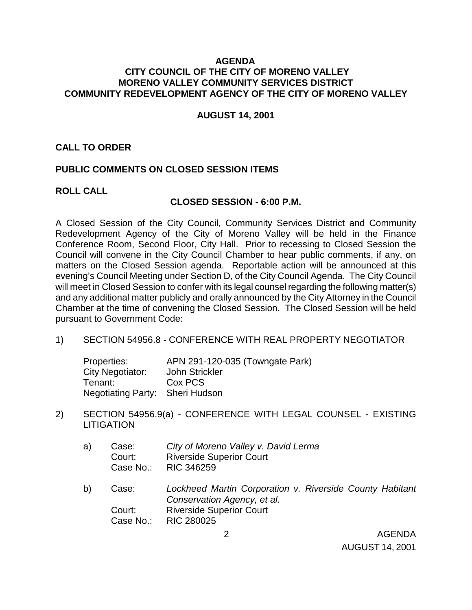## **AGENDA CITY COUNCIL OF THE CITY OF MORENO VALLEY MORENO VALLEY COMMUNITY SERVICES DISTRICT COMMUNITY REDEVELOPMENT AGENCY OF THE CITY OF MORENO VALLEY**

#### **AUGUST 14, 2001**

## **CALL TO ORDER**

## **PUBLIC COMMENTS ON CLOSED SESSION ITEMS**

### **ROLL CALL**

#### **CLOSED SESSION - 6:00 P.M.**

A Closed Session of the City Council, Community Services District and Community Redevelopment Agency of the City of Moreno Valley will be held in the Finance Conference Room, Second Floor, City Hall. Prior to recessing to Closed Session the Council will convene in the City Council Chamber to hear public comments, if any, on matters on the Closed Session agenda. Reportable action will be announced at this evening's Council Meeting under Section D, of the City Council Agenda. The City Council will meet in Closed Session to confer with its legal counsel regarding the following matter(s) and any additional matter publicly and orally announced by the City Attorney in the Council Chamber at the time of convening the Closed Session. The Closed Session will be held pursuant to Government Code:

1) SECTION 54956.8 - CONFERENCE WITH REAL PROPERTY NEGOTIATOR

| Properties:                     | APN 291-120-035 (Towngate Park) |
|---------------------------------|---------------------------------|
| City Negotiator:                | John Strickler                  |
| Tenant:                         | Cox PCS                         |
| Negotiating Party: Sheri Hudson |                                 |

- 2) SECTION 54956.9(a) CONFERENCE WITH LEGAL COUNSEL EXISTING **LITIGATION** 
	- a) Case: *City of Moreno Valley v. David Lerma* Court: Riverside Superior Court Case No.: RIC 346259
	- b) Case: *Lockheed Martin Corporation v. Riverside County Habitant Conservation Agency, et al.* Court: Riverside Superior Court Case No.: RIC 280025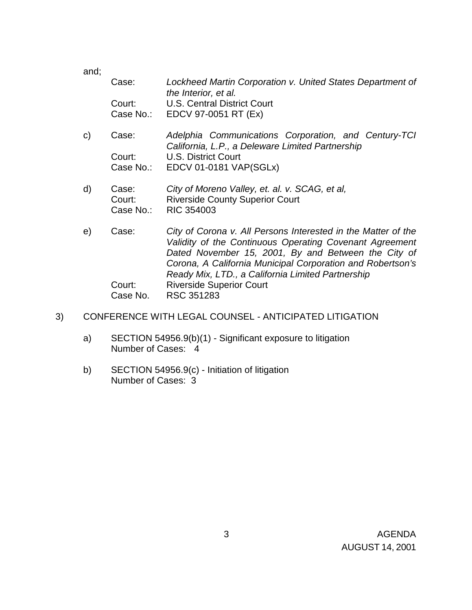and;

|              | Case:               | Lockheed Martin Corporation v. United States Department of<br>the Interior, et al.                                       |
|--------------|---------------------|--------------------------------------------------------------------------------------------------------------------------|
|              | Court:<br>Case No.: | <b>U.S. Central District Court</b><br>EDCV 97-0051 RT (Ex)                                                               |
|              |                     |                                                                                                                          |
| $\mathsf{C}$ | Case:               | Adelphia Communications Corporation, and Century-TCI<br>California, L.P., a Deleware Limited Partnership                 |
|              | Court:              | <b>U.S. District Court</b>                                                                                               |
|              | Case No.:           | EDCV 01-0181 VAP(SGLx)                                                                                                   |
| d)           | Case:               | City of Moreno Valley, et. al. v. SCAG, et al,                                                                           |
|              | Court:              | <b>Riverside County Superior Court</b>                                                                                   |
|              | Case No.:           | <b>RIC 354003</b>                                                                                                        |
| e)           | Case:               | City of Corona v. All Persons Interested in the Matter of the<br>Validity of the Continuous Operating Covenant Agreement |
|              |                     | Dated November 15, 2001, By and Between the City of<br>Corona, A California Municipal Corporation and Robertson's        |
|              |                     | Ready Mix, LTD., a California Limited Partnership                                                                        |
|              | Court:              | <b>Riverside Superior Court</b>                                                                                          |
|              | Case No.            | RSC 351283                                                                                                               |

- 3) CONFERENCE WITH LEGAL COUNSEL ANTICIPATED LITIGATION
	- a) SECTION 54956.9(b)(1) Significant exposure to litigation Number of Cases: 4
	- b) SECTION 54956.9(c) Initiation of litigation Number of Cases: 3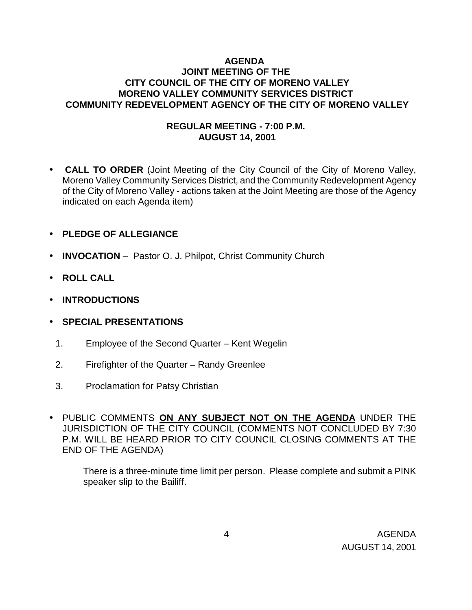# **AGENDA JOINT MEETING OF THE CITY COUNCIL OF THE CITY OF MORENO VALLEY MORENO VALLEY COMMUNITY SERVICES DISTRICT COMMUNITY REDEVELOPMENT AGENCY OF THE CITY OF MORENO VALLEY**

## **REGULAR MEETING - 7:00 P.M. AUGUST 14, 2001**

- **CALL TO ORDER** (Joint Meeting of the City Council of the City of Moreno Valley, Moreno Valley Community Services District, and the Community Redevelopment Agency of the City of Moreno Valley - actions taken at the Joint Meeting are those of the Agency indicated on each Agenda item)
- **PLEDGE OF ALLEGIANCE**
- **INVOCATION** Pastor O. J. Philpot, Christ Community Church
- **ROLL CALL**
- **INTRODUCTIONS**

## • **SPECIAL PRESENTATIONS**

- 1. Employee of the Second Quarter Kent Wegelin
- 2. Firefighter of the Quarter Randy Greenlee
- 3. Proclamation for Patsy Christian
- PUBLIC COMMENTS **ON ANY SUBJECT NOT ON THE AGENDA** UNDER THE JURISDICTION OF THE CITY COUNCIL (COMMENTS NOT CONCLUDED BY 7:30 P.M. WILL BE HEARD PRIOR TO CITY COUNCIL CLOSING COMMENTS AT THE END OF THE AGENDA)

There is a three-minute time limit per person. Please complete and submit a PINK speaker slip to the Bailiff.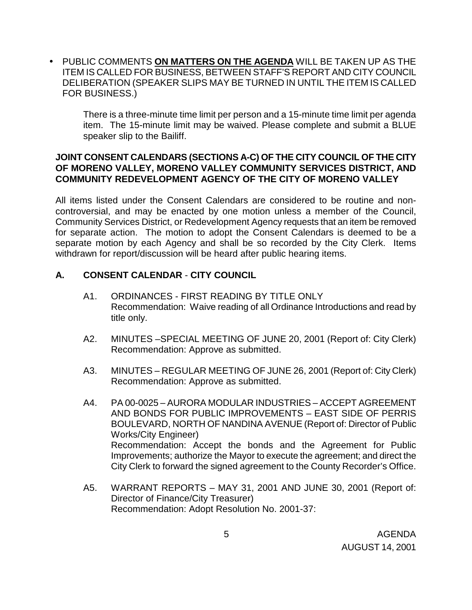• PUBLIC COMMENTS **ON MATTERS ON THE AGENDA** WILL BE TAKEN UP AS THE ITEM IS CALLED FOR BUSINESS, BETWEEN STAFF'S REPORT AND CITY COUNCIL DELIBERATION (SPEAKER SLIPS MAY BE TURNED IN UNTIL THE ITEM IS CALLED FOR BUSINESS.)

There is a three-minute time limit per person and a 15-minute time limit per agenda item. The 15-minute limit may be waived. Please complete and submit a BLUE speaker slip to the Bailiff.

## **JOINT CONSENT CALENDARS (SECTIONS A-C) OF THE CITY COUNCIL OF THE CITY OF MORENO VALLEY, MORENO VALLEY COMMUNITY SERVICES DISTRICT, AND COMMUNITY REDEVELOPMENT AGENCY OF THE CITY OF MORENO VALLEY**

All items listed under the Consent Calendars are considered to be routine and noncontroversial, and may be enacted by one motion unless a member of the Council, Community Services District, or Redevelopment Agency requests that an item be removed for separate action. The motion to adopt the Consent Calendars is deemed to be a separate motion by each Agency and shall be so recorded by the City Clerk. Items withdrawn for report/discussion will be heard after public hearing items.

# **A. CONSENT CALENDAR** - **CITY COUNCIL**

- A1. ORDINANCES FIRST READING BY TITLE ONLY Recommendation: Waive reading of all Ordinance Introductions and read by title only.
- A2. MINUTES –SPECIAL MEETING OF JUNE 20, 2001 (Report of: City Clerk) Recommendation: Approve as submitted.
- A3. MINUTES REGULAR MEETING OF JUNE 26, 2001 (Report of: City Clerk) Recommendation: Approve as submitted.
- A4. PA 00-0025 AURORA MODULAR INDUSTRIES ACCEPT AGREEMENT AND BONDS FOR PUBLIC IMPROVEMENTS – EAST SIDE OF PERRIS BOULEVARD, NORTH OF NANDINA AVENUE (Report of: Director of Public Works/City Engineer) Recommendation: Accept the bonds and the Agreement for Public Improvements; authorize the Mayor to execute the agreement; and direct the City Clerk to forward the signed agreement to the County Recorder's Office.
- A5. WARRANT REPORTS MAY 31, 2001 AND JUNE 30, 2001 (Report of: Director of Finance/City Treasurer) Recommendation: Adopt Resolution No. 2001-37: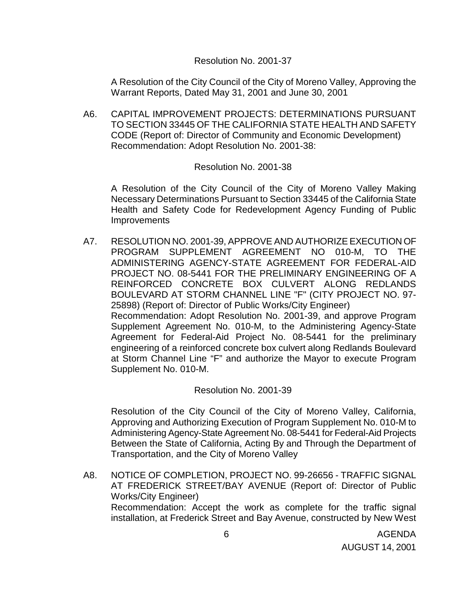## Resolution No. 2001-37

 A Resolution of the City Council of the City of Moreno Valley, Approving the Warrant Reports, Dated May 31, 2001 and June 30, 2001

A6. CAPITAL IMPROVEMENT PROJECTS: DETERMINATIONS PURSUANT TO SECTION 33445 OF THE CALIFORNIA STATE HEALTH AND SAFETY CODE (Report of: Director of Community and Economic Development) Recommendation: Adopt Resolution No. 2001-38:

## Resolution No. 2001-38

 A Resolution of the City Council of the City of Moreno Valley Making Necessary Determinations Pursuant to Section 33445 of the California State Health and Safety Code for Redevelopment Agency Funding of Public **Improvements** 

A7. RESOLUTION NO. 2001-39, APPROVE AND AUTHORIZE EXECUTION OF PROGRAM SUPPLEMENT AGREEMENT NO 010-M, TO THE ADMINISTERING AGENCY-STATE AGREEMENT FOR FEDERAL-AID PROJECT NO. 08-5441 FOR THE PRELIMINARY ENGINEERING OF A REINFORCED CONCRETE BOX CULVERT ALONG REDLANDS BOULEVARD AT STORM CHANNEL LINE "F" (CITY PROJECT NO. 97- 25898) (Report of: Director of Public Works/City Engineer) Recommendation: Adopt Resolution No. 2001-39, and approve Program Supplement Agreement No. 010-M, to the Administering Agency-State Agreement for Federal-Aid Project No. 08-5441 for the preliminary engineering of a reinforced concrete box culvert along Redlands Boulevard at Storm Channel Line "F" and authorize the Mayor to execute Program Supplement No. 010-M.

Resolution No. 2001-39

Resolution of the City Council of the City of Moreno Valley, California, Approving and Authorizing Execution of Program Supplement No. 010-M to Administering Agency-State Agreement No. 08-5441 for Federal-Aid Projects Between the State of California, Acting By and Through the Department of Transportation, and the City of Moreno Valley

A8. NOTICE OF COMPLETION, PROJECT NO. 99-26656 - TRAFFIC SIGNAL AT FREDERICK STREET/BAY AVENUE (Report of: Director of Public Works/City Engineer) Recommendation: Accept the work as complete for the traffic signal installation, at Frederick Street and Bay Avenue, constructed by New West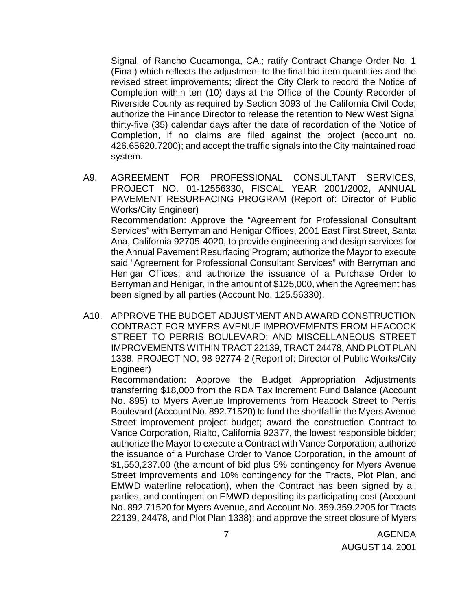Signal, of Rancho Cucamonga, CA.; ratify Contract Change Order No. 1 (Final) which reflects the adjustment to the final bid item quantities and the revised street improvements; direct the City Clerk to record the Notice of Completion within ten (10) days at the Office of the County Recorder of Riverside County as required by Section 3093 of the California Civil Code; authorize the Finance Director to release the retention to New West Signal thirty-five (35) calendar days after the date of recordation of the Notice of Completion, if no claims are filed against the project (account no. 426.65620.7200); and accept the traffic signals into the City maintained road system.

- A9. AGREEMENT FOR PROFESSIONAL CONSULTANT SERVICES, PROJECT NO. 01-12556330, FISCAL YEAR 2001/2002, ANNUAL PAVEMENT RESURFACING PROGRAM (Report of: Director of Public Works/City Engineer) Recommendation: Approve the "Agreement for Professional Consultant Services" with Berryman and Henigar Offices, 2001 East First Street, Santa Ana, California 92705-4020, to provide engineering and design services for the Annual Pavement Resurfacing Program; authorize the Mayor to execute said "Agreement for Professional Consultant Services" with Berryman and Henigar Offices; and authorize the issuance of a Purchase Order to Berryman and Henigar, in the amount of \$125,000, when the Agreement has been signed by all parties (Account No. 125.56330).
- A10. APPROVE THE BUDGET ADJUSTMENT AND AWARD CONSTRUCTION CONTRACT FOR MYERS AVENUE IMPROVEMENTS FROM HEACOCK STREET TO PERRIS BOULEVARD; AND MISCELLANEOUS STREET IMPROVEMENTS WITHIN TRACT 22139, TRACT 24478, AND PLOT PLAN 1338. PROJECT NO. 98-92774-2 (Report of: Director of Public Works/City Engineer)

Recommendation: Approve the Budget Appropriation Adjustments transferring \$18,000 from the RDA Tax Increment Fund Balance (Account No. 895) to Myers Avenue Improvements from Heacock Street to Perris Boulevard (Account No. 892.71520) to fund the shortfall in the Myers Avenue Street improvement project budget; award the construction Contract to Vance Corporation, Rialto, California 92377, the lowest responsible bidder; authorize the Mayor to execute a Contract with Vance Corporation; authorize the issuance of a Purchase Order to Vance Corporation, in the amount of \$1,550,237.00 (the amount of bid plus 5% contingency for Myers Avenue Street Improvements and 10% contingency for the Tracts, Plot Plan, and EMWD waterline relocation), when the Contract has been signed by all parties, and contingent on EMWD depositing its participating cost (Account No. 892.71520 for Myers Avenue, and Account No. 359.359.2205 for Tracts 22139, 24478, and Plot Plan 1338); and approve the street closure of Myers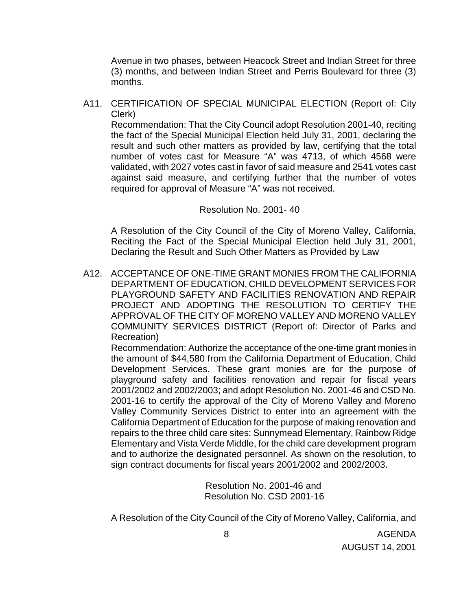Avenue in two phases, between Heacock Street and Indian Street for three (3) months, and between Indian Street and Perris Boulevard for three (3) months.

A11. CERTIFICATION OF SPECIAL MUNICIPAL ELECTION (Report of: City Clerk)

 Recommendation: That the City Council adopt Resolution 2001-40, reciting the fact of the Special Municipal Election held July 31, 2001, declaring the result and such other matters as provided by law, certifying that the total number of votes cast for Measure "A" was 4713, of which 4568 were validated, with 2027 votes cast in favor of said measure and 2541 votes cast against said measure, and certifying further that the number of votes required for approval of Measure "A" was not received.

## Resolution No. 2001- 40

 A Resolution of the City Council of the City of Moreno Valley, California, Reciting the Fact of the Special Municipal Election held July 31, 2001, Declaring the Result and Such Other Matters as Provided by Law

A12. ACCEPTANCE OF ONE-TIME GRANT MONIES FROM THE CALIFORNIA DEPARTMENT OF EDUCATION, CHILD DEVELOPMENT SERVICES FOR PLAYGROUND SAFETY AND FACILITIES RENOVATION AND REPAIR PROJECT AND ADOPTING THE RESOLUTION TO CERTIFY THE APPROVAL OF THE CITY OF MORENO VALLEY AND MORENO VALLEY COMMUNITY SERVICES DISTRICT (Report of: Director of Parks and Recreation)

Recommendation: Authorize the acceptance of the one-time grant monies in the amount of \$44,580 from the California Department of Education, Child Development Services. These grant monies are for the purpose of playground safety and facilities renovation and repair for fiscal years 2001/2002 and 2002/2003; and adopt Resolution No. 2001-46 and CSD No. 2001-16 to certify the approval of the City of Moreno Valley and Moreno Valley Community Services District to enter into an agreement with the California Department of Education for the purpose of making renovation and repairs to the three child care sites: Sunnymead Elementary, Rainbow Ridge Elementary and Vista Verde Middle, for the child care development program and to authorize the designated personnel. As shown on the resolution, to sign contract documents for fiscal years 2001/2002 and 2002/2003.

> Resolution No. 2001-46 and Resolution No. CSD 2001-16

A Resolution of the City Council of the City of Moreno Valley, California, and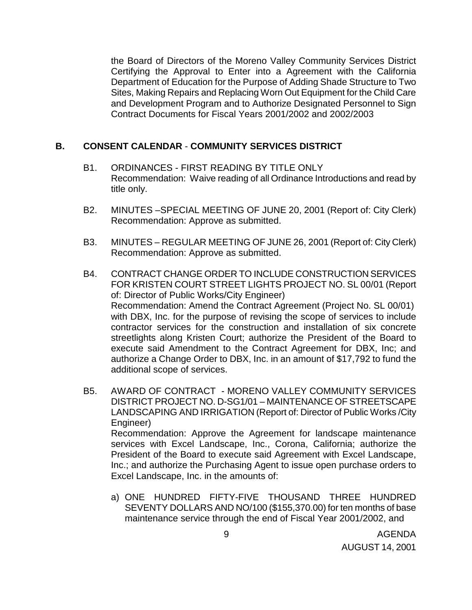the Board of Directors of the Moreno Valley Community Services District Certifying the Approval to Enter into a Agreement with the California Department of Education for the Purpose of Adding Shade Structure to Two Sites, Making Repairs and Replacing Worn Out Equipment for the Child Care and Development Program and to Authorize Designated Personnel to Sign Contract Documents for Fiscal Years 2001/2002 and 2002/2003

# **B. CONSENT CALENDAR** - **COMMUNITY SERVICES DISTRICT**

- B1. ORDINANCES FIRST READING BY TITLE ONLY Recommendation: Waive reading of all Ordinance Introductions and read by title only.
- B2. MINUTES –SPECIAL MEETING OF JUNE 20, 2001 (Report of: City Clerk) Recommendation: Approve as submitted.
- B3. MINUTES REGULAR MEETING OF JUNE 26, 2001 (Report of: City Clerk) Recommendation: Approve as submitted.
- B4. CONTRACT CHANGE ORDER TO INCLUDE CONSTRUCTION SERVICES FOR KRISTEN COURT STREET LIGHTS PROJECT NO. SL 00/01 (Report of: Director of Public Works/City Engineer) Recommendation: Amend the Contract Agreement (Project No. SL 00/01) with DBX, Inc. for the purpose of revising the scope of services to include contractor services for the construction and installation of six concrete streetlights along Kristen Court; authorize the President of the Board to execute said Amendment to the Contract Agreement for DBX, Inc; and authorize a Change Order to DBX, Inc. in an amount of \$17,792 to fund the additional scope of services.
- B5. AWARD OF CONTRACT MORENO VALLEY COMMUNITY SERVICES DISTRICT PROJECT NO. D-SG1/01 – MAINTENANCE OF STREETSCAPE LANDSCAPING AND IRRIGATION (Report of: Director of Public Works /City Engineer) Recommendation: Approve the Agreement for landscape maintenance services with Excel Landscape, Inc., Corona, California; authorize the President of the Board to execute said Agreement with Excel Landscape, Inc.; and authorize the Purchasing Agent to issue open purchase orders to Excel Landscape, Inc. in the amounts of:
	- a) ONE HUNDRED FIFTY-FIVE THOUSAND THREE HUNDRED SEVENTY DOLLARS AND NO/100 (\$155,370.00) for ten months of base maintenance service through the end of Fiscal Year 2001/2002, and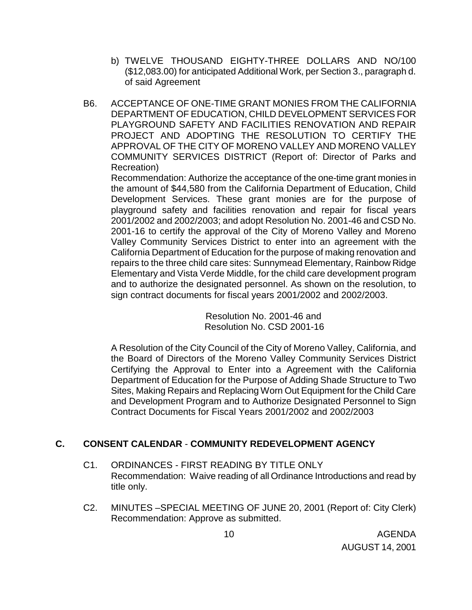- b) TWELVE THOUSAND EIGHTY-THREE DOLLARS AND NO/100 (\$12,083.00) for anticipated Additional Work, per Section 3., paragraph d. of said Agreement
- B6. ACCEPTANCE OF ONE-TIME GRANT MONIES FROM THE CALIFORNIA DEPARTMENT OF EDUCATION, CHILD DEVELOPMENT SERVICES FOR PLAYGROUND SAFETY AND FACILITIES RENOVATION AND REPAIR PROJECT AND ADOPTING THE RESOLUTION TO CERTIFY THE APPROVAL OF THE CITY OF MORENO VALLEY AND MORENO VALLEY COMMUNITY SERVICES DISTRICT (Report of: Director of Parks and Recreation)

Recommendation: Authorize the acceptance of the one-time grant monies in the amount of \$44,580 from the California Department of Education, Child Development Services. These grant monies are for the purpose of playground safety and facilities renovation and repair for fiscal years 2001/2002 and 2002/2003; and adopt Resolution No. 2001-46 and CSD No. 2001-16 to certify the approval of the City of Moreno Valley and Moreno Valley Community Services District to enter into an agreement with the California Department of Education for the purpose of making renovation and repairs to the three child care sites: Sunnymead Elementary, Rainbow Ridge Elementary and Vista Verde Middle, for the child care development program and to authorize the designated personnel. As shown on the resolution, to sign contract documents for fiscal years 2001/2002 and 2002/2003.

> Resolution No. 2001-46 and Resolution No. CSD 2001-16

A Resolution of the City Council of the City of Moreno Valley, California, and the Board of Directors of the Moreno Valley Community Services District Certifying the Approval to Enter into a Agreement with the California Department of Education for the Purpose of Adding Shade Structure to Two Sites, Making Repairs and Replacing Worn Out Equipment for the Child Care and Development Program and to Authorize Designated Personnel to Sign Contract Documents for Fiscal Years 2001/2002 and 2002/2003

# **C. CONSENT CALENDAR** - **COMMUNITY REDEVELOPMENT AGENCY**

- C1. ORDINANCES FIRST READING BY TITLE ONLY Recommendation: Waive reading of all Ordinance Introductions and read by title only.
- C2. MINUTES –SPECIAL MEETING OF JUNE 20, 2001 (Report of: City Clerk) Recommendation: Approve as submitted.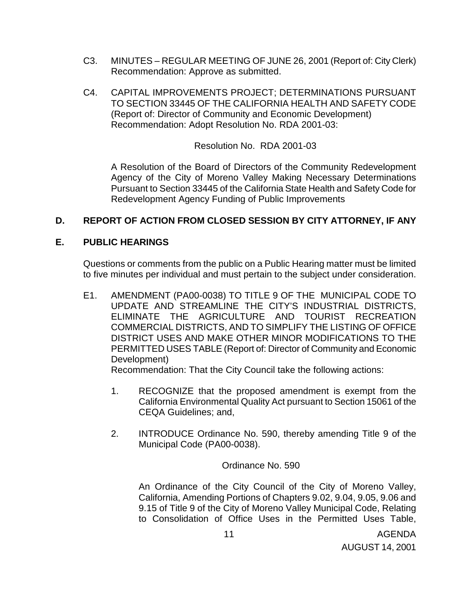- C3. MINUTES REGULAR MEETING OF JUNE 26, 2001 (Report of: City Clerk) Recommendation: Approve as submitted.
- C4. CAPITAL IMPROVEMENTS PROJECT; DETERMINATIONS PURSUANT TO SECTION 33445 OF THE CALIFORNIA HEALTH AND SAFETY CODE (Report of: Director of Community and Economic Development) Recommendation: Adopt Resolution No. RDA 2001-03:

Resolution No. RDA 2001-03

A Resolution of the Board of Directors of the Community Redevelopment Agency of the City of Moreno Valley Making Necessary Determinations Pursuant to Section 33445 of the California State Health and Safety Code for Redevelopment Agency Funding of Public Improvements

# **D. REPORT OF ACTION FROM CLOSED SESSION BY CITY ATTORNEY, IF ANY**

## **E. PUBLIC HEARINGS**

Questions or comments from the public on a Public Hearing matter must be limited to five minutes per individual and must pertain to the subject under consideration.

E1. AMENDMENT (PA00-0038) TO TITLE 9 OF THE MUNICIPAL CODE TO UPDATE AND STREAMLINE THE CITY'S INDUSTRIAL DISTRICTS, ELIMINATE THE AGRICULTURE AND TOURIST RECREATION COMMERCIAL DISTRICTS, AND TO SIMPLIFY THE LISTING OF OFFICE DISTRICT USES AND MAKE OTHER MINOR MODIFICATIONS TO THE PERMITTED USES TABLE (Report of: Director of Community and Economic Development)

Recommendation: That the City Council take the following actions:

- 1. RECOGNIZE that the proposed amendment is exempt from the California Environmental Quality Act pursuant to Section 15061 of the CEQA Guidelines; and,
- 2. INTRODUCE Ordinance No. 590, thereby amending Title 9 of the Municipal Code (PA00-0038).

Ordinance No. 590

An Ordinance of the City Council of the City of Moreno Valley, California, Amending Portions of Chapters 9.02, 9.04, 9.05, 9.06 and 9.15 of Title 9 of the City of Moreno Valley Municipal Code, Relating to Consolidation of Office Uses in the Permitted Uses Table,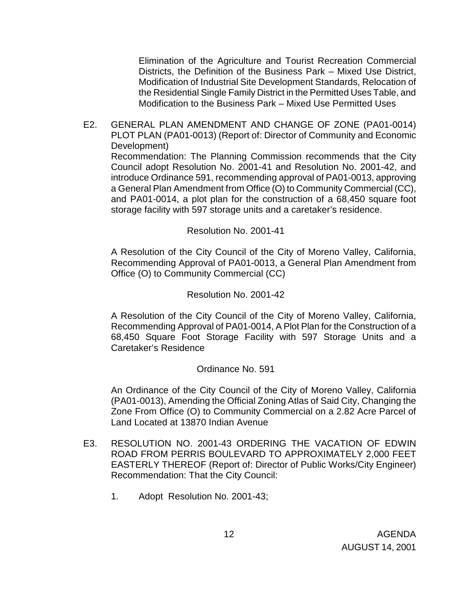Elimination of the Agriculture and Tourist Recreation Commercial Districts, the Definition of the Business Park – Mixed Use District, Modification of Industrial Site Development Standards, Relocation of the Residential Single Family District in the Permitted Uses Table, and Modification to the Business Park – Mixed Use Permitted Uses

 E2. GENERAL PLAN AMENDMENT AND CHANGE OF ZONE (PA01-0014) PLOT PLAN (PA01-0013) (Report of: Director of Community and Economic Development) Recommendation: The Planning Commission recommends that the City Council adopt Resolution No. 2001-41 and Resolution No. 2001-42, and introduce Ordinance 591, recommending approval of PA01-0013, approving a General Plan Amendment from Office (O) to Community Commercial (CC), and PA01-0014, a plot plan for the construction of a 68,450 square foot storage facility with 597 storage units and a caretaker's residence.

## Resolution No. 2001-41

 A Resolution of the City Council of the City of Moreno Valley, California, Recommending Approval of PA01-0013, a General Plan Amendment from Office (O) to Community Commercial (CC)

## Resolution No. 2001-42

 A Resolution of the City Council of the City of Moreno Valley, California, Recommending Approval of PA01-0014, A Plot Plan for the Construction of a 68,450 Square Foot Storage Facility with 597 Storage Units and a Caretaker's Residence

### Ordinance No. 591

 An Ordinance of the City Council of the City of Moreno Valley, California (PA01-0013), Amending the Official Zoning Atlas of Said City, Changing the Zone From Office (O) to Community Commercial on a 2.82 Acre Parcel of Land Located at 13870 Indian Avenue

- E3. RESOLUTION NO. 2001-43 ORDERING THE VACATION OF EDWIN ROAD FROM PERRIS BOULEVARD TO APPROXIMATELY 2,000 FEET EASTERLY THEREOF (Report of: Director of Public Works/City Engineer) Recommendation: That the City Council:
	- 1. Adopt Resolution No. 2001-43;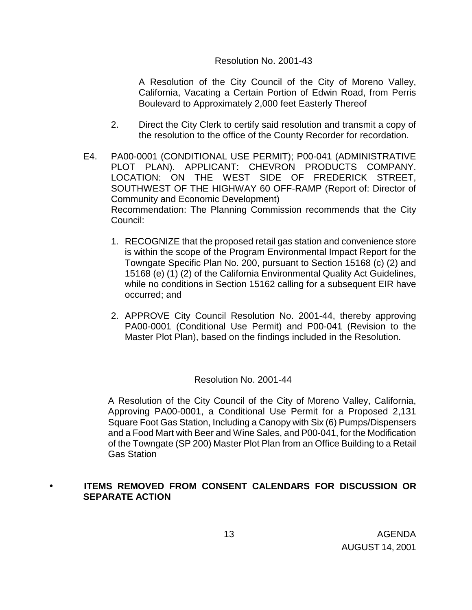## Resolution No. 2001-43

A Resolution of the City Council of the City of Moreno Valley, California, Vacating a Certain Portion of Edwin Road, from Perris Boulevard to Approximately 2,000 feet Easterly Thereof

- 2. Direct the City Clerk to certify said resolution and transmit a copy of the resolution to the office of the County Recorder for recordation.
- E4. PA00-0001 (CONDITIONAL USE PERMIT); P00-041 (ADMINISTRATIVE PLOT PLAN). APPLICANT: CHEVRON PRODUCTS COMPANY. LOCATION: ON THE WEST SIDE OF FREDERICK STREET, SOUTHWEST OF THE HIGHWAY 60 OFF-RAMP (Report of: Director of Community and Economic Development) Recommendation: The Planning Commission recommends that the City Council:
	- 1. RECOGNIZE that the proposed retail gas station and convenience store is within the scope of the Program Environmental Impact Report for the Towngate Specific Plan No. 200, pursuant to Section 15168 (c) (2) and 15168 (e) (1) (2) of the California Environmental Quality Act Guidelines, while no conditions in Section 15162 calling for a subsequent EIR have occurred; and
	- 2. APPROVE City Council Resolution No. 2001-44, thereby approving PA00-0001 (Conditional Use Permit) and P00-041 (Revision to the Master Plot Plan), based on the findings included in the Resolution.

## Resolution No. 2001-44

A Resolution of the City Council of the City of Moreno Valley, California, Approving PA00-0001, a Conditional Use Permit for a Proposed 2,131 Square Foot Gas Station, Including a Canopy with Six (6) Pumps/Dispensers and a Food Mart with Beer and Wine Sales, and P00-041, for the Modification of the Towngate (SP 200) Master Plot Plan from an Office Building to a Retail Gas Station

# • **ITEMS REMOVED FROM CONSENT CALENDARS FOR DISCUSSION OR SEPARATE ACTION**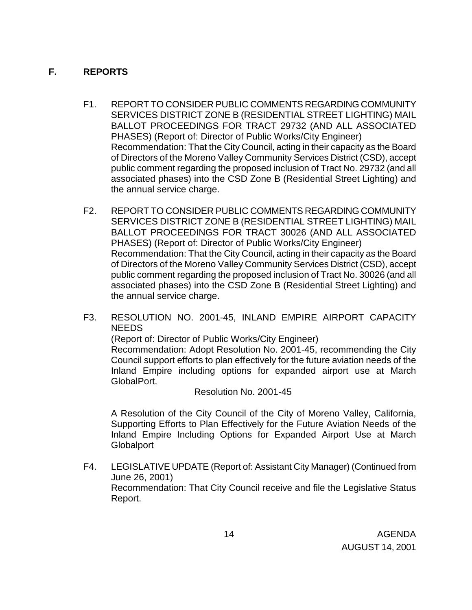# **F. REPORTS**

- F1. REPORT TO CONSIDER PUBLIC COMMENTS REGARDING COMMUNITY SERVICES DISTRICT ZONE B (RESIDENTIAL STREET LIGHTING) MAIL BALLOT PROCEEDINGS FOR TRACT 29732 (AND ALL ASSOCIATED PHASES) (Report of: Director of Public Works/City Engineer) Recommendation: That the City Council, acting in their capacity as the Board of Directors of the Moreno Valley Community Services District (CSD), accept public comment regarding the proposed inclusion of Tract No. 29732 (and all associated phases) into the CSD Zone B (Residential Street Lighting) and the annual service charge.
- F2. REPORT TO CONSIDER PUBLIC COMMENTS REGARDING COMMUNITY SERVICES DISTRICT ZONE B (RESIDENTIAL STREET LIGHTING) MAIL BALLOT PROCEEDINGS FOR TRACT 30026 (AND ALL ASSOCIATED PHASES) (Report of: Director of Public Works/City Engineer) Recommendation: That the City Council, acting in their capacity as the Board of Directors of the Moreno Valley Community Services District (CSD), accept public comment regarding the proposed inclusion of Tract No. 30026 (and all associated phases) into the CSD Zone B (Residential Street Lighting) and the annual service charge.
- F3. RESOLUTION NO. 2001-45, INLAND EMPIRE AIRPORT CAPACITY NEEDS

(Report of: Director of Public Works/City Engineer)

 Recommendation: Adopt Resolution No. 2001-45, recommending the City Council support efforts to plan effectively for the future aviation needs of the Inland Empire including options for expanded airport use at March GlobalPort.

Resolution No. 2001-45

 A Resolution of the City Council of the City of Moreno Valley, California, Supporting Efforts to Plan Effectively for the Future Aviation Needs of the Inland Empire Including Options for Expanded Airport Use at March **Globalport** 

F4. LEGISLATIVE UPDATE (Report of: Assistant City Manager) (Continued from June 26, 2001) Recommendation: That City Council receive and file the Legislative Status Report.